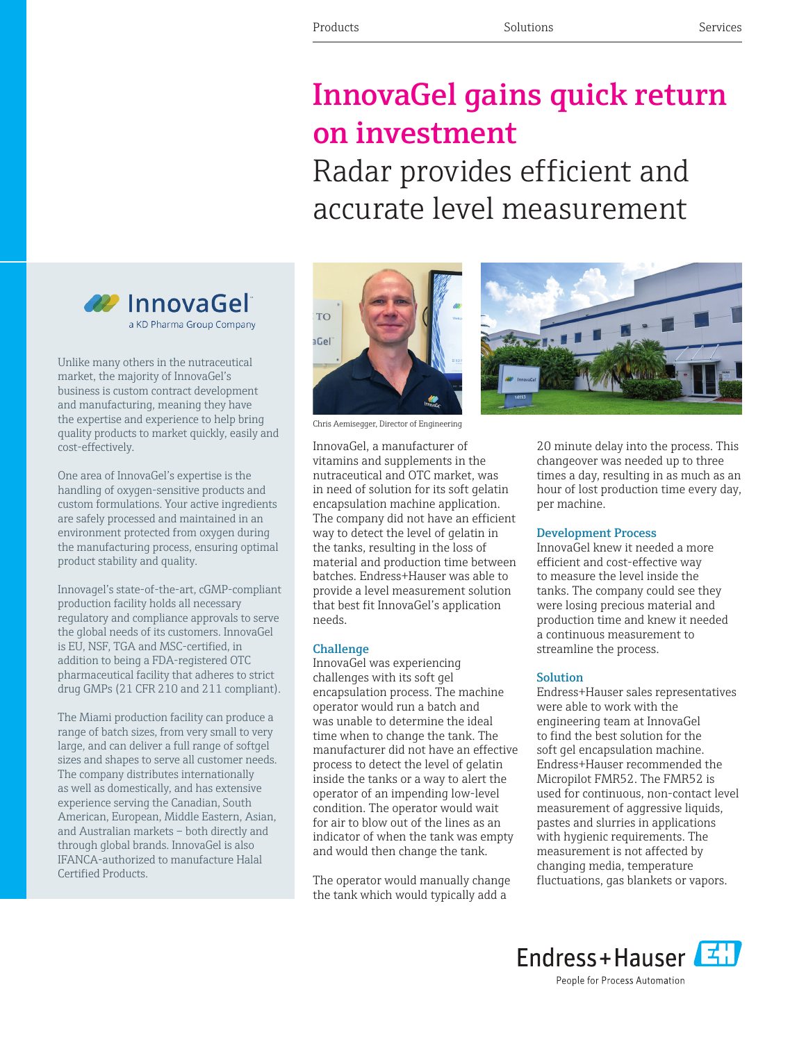# InnovaGel gains quick return on investment Radar provides efficient and accurate level measurement



Unlike many others in the nutraceutical market, the majority of InnovaGel's business is custom contract development and manufacturing, meaning they have the expertise and experience to help bring quality products to market quickly, easily and cost-effectively.

One area of InnovaGel's expertise is the handling of oxygen-sensitive products and custom formulations. Your active ingredients are safely processed and maintained in an environment protected from oxygen during the manufacturing process, ensuring optimal product stability and quality.

Innovagel's state-of-the-art, cGMP-compliant production facility holds all necessary regulatory and compliance approvals to serve the global needs of its customers. InnovaGel is EU, NSF, TGA and MSC-certified, in addition to being a FDA-registered OTC pharmaceutical facility that adheres to strict drug GMPs (21 CFR 210 and 211 compliant).

The Miami production facility can produce a range of batch sizes, from very small to very large, and can deliver a full range of softgel sizes and shapes to serve all customer needs. The company distributes internationally as well as domestically, and has extensive experience serving the Canadian, South American, European, Middle Eastern, Asian, and Australian markets – both directly and through global brands. InnovaGel is also IFANCA-authorized to manufacture Halal Certified Products.





Chris Aemisegger, Director of Engineering

InnovaGel, a manufacturer of vitamins and supplements in the nutraceutical and OTC market, was in need of solution for its soft gelatin encapsulation machine application. The company did not have an efficient way to detect the level of gelatin in the tanks, resulting in the loss of material and production time between batches. Endress+Hauser was able to provide a level measurement solution that best fit InnovaGel's application needs.

#### Challenge

InnovaGel was experiencing challenges with its soft gel encapsulation process. The machine operator would run a batch and was unable to determine the ideal time when to change the tank. The manufacturer did not have an effective process to detect the level of gelatin inside the tanks or a way to alert the operator of an impending low-level condition. The operator would wait for air to blow out of the lines as an indicator of when the tank was empty and would then change the tank.

The operator would manually change the tank which would typically add a



20 minute delay into the process. This changeover was needed up to three times a day, resulting in as much as an hour of lost production time every day, per machine.

### Development Process

InnovaGel knew it needed a more efficient and cost-effective way to measure the level inside the tanks. The company could see they were losing precious material and production time and knew it needed a continuous measurement to streamline the process.

### Solution

Endress+Hauser sales representatives were able to work with the engineering team at InnovaGel to find the best solution for the soft gel encapsulation machine. Endress+Hauser recommended the Micropilot FMR52. The FMR52 is used for continuous, non-contact level measurement of aggressive liquids, pastes and slurries in applications with hygienic requirements. The measurement is not affected by changing media, temperature fluctuations, gas blankets or vapors.